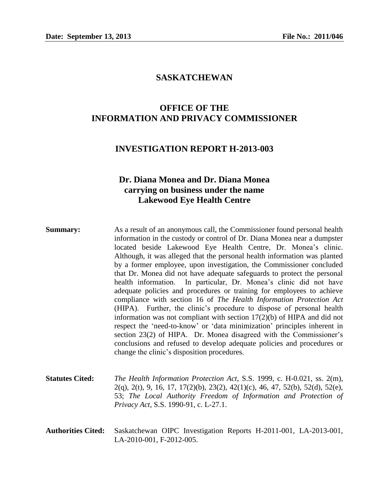## **SASKATCHEWAN**

## **OFFICE OF THE INFORMATION AND PRIVACY COMMISSIONER**

### **INVESTIGATION REPORT H-2013-003**

## **Dr. Diana Monea and Dr. Diana Monea carrying on business under the name Lakewood Eye Health Centre**

- **Summary:** As a result of an anonymous call, the Commissioner found personal health information in the custody or control of Dr. Diana Monea near a dumpster located beside Lakewood Eye Health Centre, Dr. Monea's clinic. Although, it was alleged that the personal health information was planted by a former employee, upon investigation, the Commissioner concluded that Dr. Monea did not have adequate safeguards to protect the personal health information. In particular, Dr. Monea's clinic did not have adequate policies and procedures or training for employees to achieve compliance with section 16 of *The Health Information Protection Act*  (HIPA). Further, the clinic's procedure to dispose of personal health information was not compliant with section 17(2)(b) of HIPA and did not respect the 'need-to-know' or 'data minimization' principles inherent in section 23(2) of HIPA. Dr. Monea disagreed with the Commissioner's conclusions and refused to develop adequate policies and procedures or change the clinic's disposition procedures.
- **Statutes Cited:** *The Health Information Protection Act*, S.S. 1999, c. H-0.021, ss. 2(m), 2(q), 2(t), 9, 16, 17, 17(2)(b), 23(2), 42(1)(c), 46, 47, 52(b), 52(d), 52(e), 53; *The Local Authority Freedom of Information and Protection of Privacy Act*, S.S. 1990-91, c. L-27.1.
- **Authorities Cited:** Saskatchewan OIPC Investigation Reports H-2011-001, LA-2013-001, LA-2010-001, F-2012-005.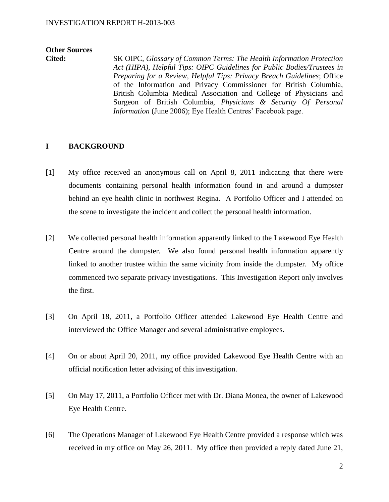# **Other Sources**

**Cited:** SK OIPC, *Glossary of Common Terms: The Health Information Protection Act (HIPA)*, *Helpful Tips: OIPC Guidelines for Public Bodies/Trustees in Preparing for a Review*, *Helpful Tips: Privacy Breach Guidelines*; Office of the Information and Privacy Commissioner for British Columbia, British Columbia Medical Association and College of Physicians and Surgeon of British Columbia, *Physicians & Security Of Personal Information* (June 2006); Eye Health Centres' Facebook page.

## **I BACKGROUND**

- [1] My office received an anonymous call on April 8, 2011 indicating that there were documents containing personal health information found in and around a dumpster behind an eye health clinic in northwest Regina. A Portfolio Officer and I attended on the scene to investigate the incident and collect the personal health information.
- [2] We collected personal health information apparently linked to the Lakewood Eye Health Centre around the dumpster. We also found personal health information apparently linked to another trustee within the same vicinity from inside the dumpster. My office commenced two separate privacy investigations. This Investigation Report only involves the first.
- [3] On April 18, 2011, a Portfolio Officer attended Lakewood Eye Health Centre and interviewed the Office Manager and several administrative employees.
- [4] On or about April 20, 2011, my office provided Lakewood Eye Health Centre with an official notification letter advising of this investigation.
- [5] On May 17, 2011, a Portfolio Officer met with Dr. Diana Monea, the owner of Lakewood Eye Health Centre.
- [6] The Operations Manager of Lakewood Eye Health Centre provided a response which was received in my office on May 26, 2011. My office then provided a reply dated June 21,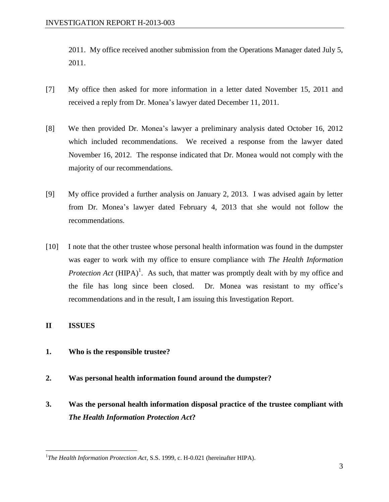2011. My office received another submission from the Operations Manager dated July 5, 2011.

- [7] My office then asked for more information in a letter dated November 15, 2011 and received a reply from Dr. Monea's lawyer dated December 11, 2011.
- [8] We then provided Dr. Monea's lawyer a preliminary analysis dated October 16, 2012 which included recommendations. We received a response from the lawyer dated November 16, 2012. The response indicated that Dr. Monea would not comply with the majority of our recommendations.
- [9] My office provided a further analysis on January 2, 2013. I was advised again by letter from Dr. Monea's lawyer dated February 4, 2013 that she would not follow the recommendations.
- [10] I note that the other trustee whose personal health information was found in the dumpster was eager to work with my office to ensure compliance with *The Health Information Protection Act*  $(HIPA)^1$ . As such, that matter was promptly dealt with by my office and the file has long since been closed. Dr. Monea was resistant to my office's recommendations and in the result, I am issuing this Investigation Report.

## **II ISSUES**

- **1. Who is the responsible trustee?**
- **2. Was personal health information found around the dumpster?**
- **3. Was the personal health information disposal practice of the trustee compliant with**  *The Health Information Protection Act***?**

<sup>&</sup>lt;sup>1</sup>The Health Information Protection Act, S.S. 1999, c. H-0.021 (hereinafter HIPA).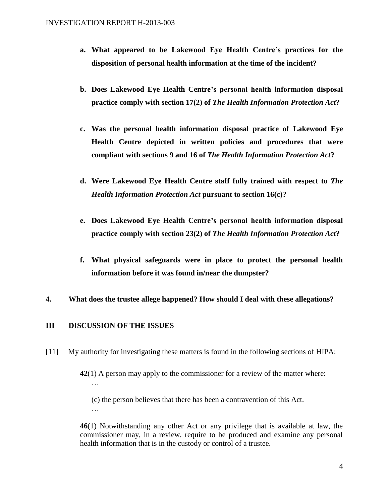- **a. What appeared to be Lakewood Eye Health Centre's practices for the disposition of personal health information at the time of the incident?**
- **b. Does Lakewood Eye Health Centre's personal health information disposal practice comply with section 17(2) of** *The Health Information Protection Act***?**
- **c. Was the personal health information disposal practice of Lakewood Eye Health Centre depicted in written policies and procedures that were compliant with sections 9 and 16 of** *The Health Information Protection Act***?**
- **d. Were Lakewood Eye Health Centre staff fully trained with respect to** *The Health Information Protection Act* **pursuant to section 16(c)?**
- **e. Does Lakewood Eye Health Centre's personal health information disposal practice comply with section 23(2) of** *The Health Information Protection Act***?**
- **f. What physical safeguards were in place to protect the personal health information before it was found in/near the dumpster?**
- **4. What does the trustee allege happened? How should I deal with these allegations?**

### **III DISCUSSION OF THE ISSUES**

[11] My authority for investigating these matters is found in the following sections of HIPA:

**42**(1) A person may apply to the commissioner for a review of the matter where: …

(c) the person believes that there has been a contravention of this Act.

**46**(1) Notwithstanding any other Act or any privilege that is available at law, the commissioner may, in a review, require to be produced and examine any personal health information that is in the custody or control of a trustee.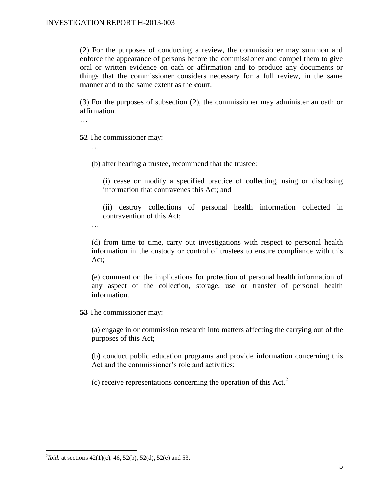(2) For the purposes of conducting a review, the commissioner may summon and enforce the appearance of persons before the commissioner and compel them to give oral or written evidence on oath or affirmation and to produce any documents or things that the commissioner considers necessary for a full review, in the same manner and to the same extent as the court.

(3) For the purposes of subsection (2), the commissioner may administer an oath or affirmation.

…

…

…

**52** The commissioner may:

(b) after hearing a trustee, recommend that the trustee:

(i) cease or modify a specified practice of collecting, using or disclosing information that contravenes this Act; and

(ii) destroy collections of personal health information collected in contravention of this Act;

(d) from time to time, carry out investigations with respect to personal health information in the custody or control of trustees to ensure compliance with this Act;

(e) comment on the implications for protection of personal health information of any aspect of the collection, storage, use or transfer of personal health information.

**53** The commissioner may:

(a) engage in or commission research into matters affecting the carrying out of the purposes of this Act;

(b) conduct public education programs and provide information concerning this Act and the commissioner's role and activities;

(c) receive representations concerning the operation of this Act.<sup>2</sup>

<sup>&</sup>lt;sup>2</sup>*Ibid.* at sections  $42(1)(c)$ , 46, 52(b), 52(d), 52(e) and 53.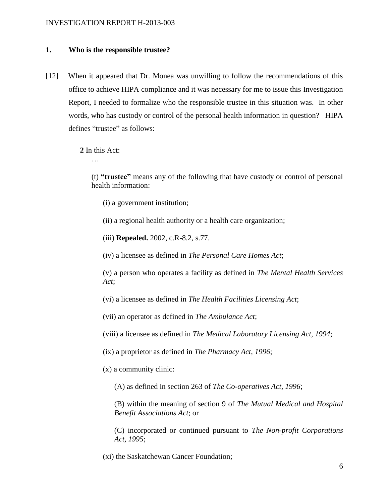### **1. Who is the responsible trustee?**

[12] When it appeared that Dr. Monea was unwilling to follow the recommendations of this office to achieve HIPA compliance and it was necessary for me to issue this Investigation Report, I needed to formalize who the responsible trustee in this situation was. In other words, who has custody or control of the personal health information in question? HIPA defines "trustee" as follows:

**2** In this Act:

(t) **"trustee"** means any of the following that have custody or control of personal health information:

- (i) a government institution;
- (ii) a regional health authority or a health care organization;
- (iii) **Repealed.** 2002, c.R-8.2, s.77.

(iv) a licensee as defined in *The Personal Care Homes Act*;

(v) a person who operates a facility as defined in *The Mental Health Services Act*;

(vi) a licensee as defined in *The Health Facilities Licensing Act*;

(vii) an operator as defined in *The Ambulance Act*;

(viii) a licensee as defined in *The Medical Laboratory Licensing Act, 1994*;

(ix) a proprietor as defined in *The Pharmacy Act, 1996*;

(x) a community clinic:

(A) as defined in section 263 of *The Co-operatives Act, 1996*;

(B) within the meaning of section 9 of *The Mutual Medical and Hospital Benefit Associations Act*; or

(C) incorporated or continued pursuant to *The Non-profit Corporations Act, 1995*;

(xi) the Saskatchewan Cancer Foundation;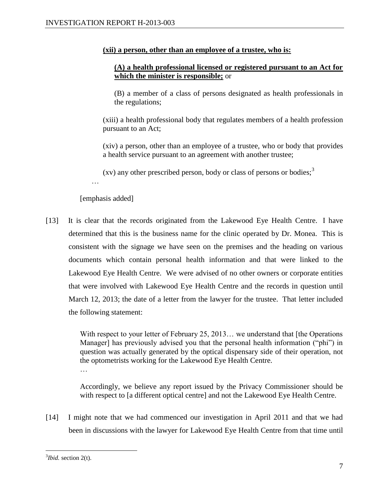#### **(xii) a person, other than an employee of a trustee, who is:**

### **(A) a health professional licensed or registered pursuant to an Act for which the minister is responsible;** or

(B) a member of a class of persons designated as health professionals in the regulations;

(xiii) a health professional body that regulates members of a health profession pursuant to an Act;

(xiv) a person, other than an employee of a trustee, who or body that provides a health service pursuant to an agreement with another trustee;

(xv) any other prescribed person, body or class of persons or bodies;<sup>3</sup>

[emphasis added]

…

[13] It is clear that the records originated from the Lakewood Eye Health Centre. I have determined that this is the business name for the clinic operated by Dr. Monea. This is consistent with the signage we have seen on the premises and the heading on various documents which contain personal health information and that were linked to the Lakewood Eye Health Centre. We were advised of no other owners or corporate entities that were involved with Lakewood Eye Health Centre and the records in question until March 12, 2013; the date of a letter from the lawyer for the trustee. That letter included the following statement:

> With respect to your letter of February 25, 2013... we understand that [the Operations Manager] has previously advised you that the personal health information ("phi") in question was actually generated by the optical dispensary side of their operation, not the optometrists working for the Lakewood Eye Health Centre. …

> Accordingly, we believe any report issued by the Privacy Commissioner should be with respect to [a different optical centre] and not the Lakewood Eye Health Centre.

[14] I might note that we had commenced our investigation in April 2011 and that we had been in discussions with the lawyer for Lakewood Eye Health Centre from that time until

<sup>&</sup>lt;sup>3</sup>*Ibid.* section 2(t).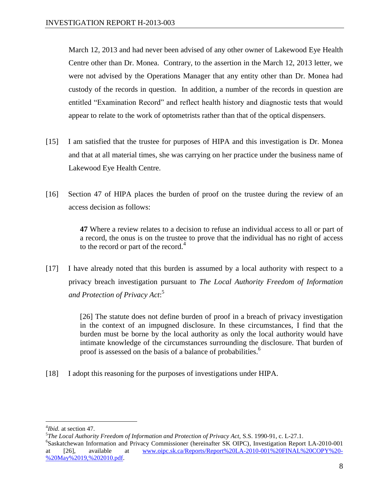March 12, 2013 and had never been advised of any other owner of Lakewood Eye Health Centre other than Dr. Monea. Contrary, to the assertion in the March 12, 2013 letter, we were not advised by the Operations Manager that any entity other than Dr. Monea had custody of the records in question. In addition, a number of the records in question are entitled "Examination Record" and reflect health history and diagnostic tests that would appear to relate to the work of optometrists rather than that of the optical dispensers.

- [15] I am satisfied that the trustee for purposes of HIPA and this investigation is Dr. Monea and that at all material times, she was carrying on her practice under the business name of Lakewood Eye Health Centre.
- [16] Section 47 of HIPA places the burden of proof on the trustee during the review of an access decision as follows:

**47** Where a review relates to a decision to refuse an individual access to all or part of a record, the onus is on the trustee to prove that the individual has no right of access to the record or part of the record. $4$ 

[17] I have already noted that this burden is assumed by a local authority with respect to a privacy breach investigation pursuant to *The Local Authority Freedom of Information and Protection of Privacy Act*: 5

> [26] The statute does not define burden of proof in a breach of privacy investigation in the context of an impugned disclosure. In these circumstances, I find that the burden must be borne by the local authority as only the local authority would have intimate knowledge of the circumstances surrounding the disclosure. That burden of proof is assessed on the basis of a balance of probabilities.<sup>6</sup>

[18] I adopt this reasoning for the purposes of investigations under HIPA.

 $\overline{a}$ 4 *Ibid.* at section 47.

<sup>5</sup> *The Local Authority Freedom of Information and Protection of Privacy Act,* S.S. 1990-91, c. L-27.1.

<sup>6</sup> Saskatchewan Information and Privacy Commissioner (hereinafter SK OIPC), Investigation Report LA-2010-001 [26], available at [www.oipc.sk.ca/Reports/Report%20LA-2010-001%20FINAL%20COPY%20-](http://www.oipc.sk.ca/Reports/Report%20LA-2010-001%20FINAL%20COPY%20-%20May%2019,%202010.pdf) [%20May%2019,%202010.pdf.](http://www.oipc.sk.ca/Reports/Report%20LA-2010-001%20FINAL%20COPY%20-%20May%2019,%202010.pdf)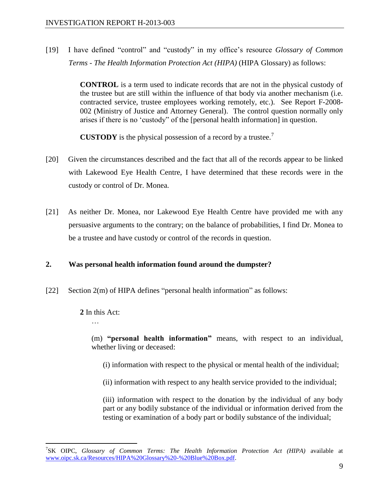[19] I have defined "control" and "custody" in my office's resource *Glossary of Common Terms - The Health Information Protection Act (HIPA)* (HIPA Glossary) as follows:

> **CONTROL** is a term used to indicate records that are not in the physical custody of the trustee but are still within the influence of that body via another mechanism (i.e. contracted service, trustee employees working remotely, etc.). See Report F-2008- 002 (Ministry of Justice and Attorney General). The control question normally only arises if there is no 'custody" of the [personal health information] in question.

**CUSTODY** is the physical possession of a record by a trustee.<sup>7</sup>

- [20] Given the circumstances described and the fact that all of the records appear to be linked with Lakewood Eye Health Centre, I have determined that these records were in the custody or control of Dr. Monea.
- [21] As neither Dr. Monea, nor Lakewood Eye Health Centre have provided me with any persuasive arguments to the contrary; on the balance of probabilities, I find Dr. Monea to be a trustee and have custody or control of the records in question.

## **2. Was personal health information found around the dumpster?**

[22] Section 2(m) of HIPA defines "personal health information" as follows:

**2** In this Act:

…

 $\overline{a}$ 

(m) **"personal health information"** means, with respect to an individual, whether living or deceased:

(i) information with respect to the physical or mental health of the individual;

(ii) information with respect to any health service provided to the individual;

(iii) information with respect to the donation by the individual of any body part or any bodily substance of the individual or information derived from the testing or examination of a body part or bodily substance of the individual;

<sup>7</sup> SK OIPC, *Glossary of Common Terms: The Health Information Protection Act (HIPA)* available at [www.oipc.sk.ca/Resources/HIPA%20Glossary%20-%20Blue%20Box.pdf.](http://www.oipc.sk.ca/Resources/HIPA%20Glossary%20-%20Blue%20Box.pdf)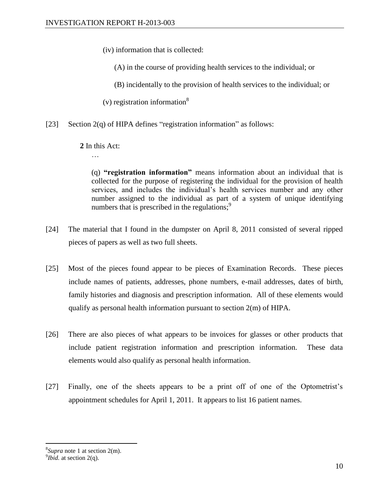(iv) information that is collected:

(A) in the course of providing health services to the individual; or

(B) incidentally to the provision of health services to the individual; or

(v) registration information<sup>8</sup>

[23] Section 2(q) of HIPA defines "registration information" as follows:

**2** In this Act:

(q) **"registration information"** means information about an individual that is collected for the purpose of registering the individual for the provision of health services, and includes the individual's health services number and any other number assigned to the individual as part of a system of unique identifying numbers that is prescribed in the regulations; $\frac{9}{2}$ 

- [24] The material that I found in the dumpster on April 8, 2011 consisted of several ripped pieces of papers as well as two full sheets.
- [25] Most of the pieces found appear to be pieces of Examination Records. These pieces include names of patients, addresses, phone numbers, e-mail addresses, dates of birth, family histories and diagnosis and prescription information. All of these elements would qualify as personal health information pursuant to section 2(m) of HIPA.
- [26] There are also pieces of what appears to be invoices for glasses or other products that include patient registration information and prescription information. These data elements would also qualify as personal health information.
- [27] Finally, one of the sheets appears to be a print off of one of the Optometrist's appointment schedules for April 1, 2011. It appears to list 16 patient names.

<sup>8</sup> *Supra* note 1 at section 2(m).

 $9$ *Ibid.* at section 2(q).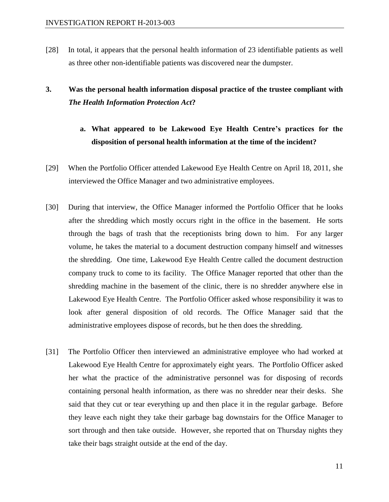[28] In total, it appears that the personal health information of 23 identifiable patients as well as three other non-identifiable patients was discovered near the dumpster.

## **3. Was the personal health information disposal practice of the trustee compliant with** *The Health Information Protection Act***?**

## **a. What appeared to be Lakewood Eye Health Centre's practices for the disposition of personal health information at the time of the incident?**

- [29] When the Portfolio Officer attended Lakewood Eye Health Centre on April 18, 2011, she interviewed the Office Manager and two administrative employees.
- [30] During that interview, the Office Manager informed the Portfolio Officer that he looks after the shredding which mostly occurs right in the office in the basement. He sorts through the bags of trash that the receptionists bring down to him. For any larger volume, he takes the material to a document destruction company himself and witnesses the shredding. One time, Lakewood Eye Health Centre called the document destruction company truck to come to its facility. The Office Manager reported that other than the shredding machine in the basement of the clinic, there is no shredder anywhere else in Lakewood Eye Health Centre. The Portfolio Officer asked whose responsibility it was to look after general disposition of old records. The Office Manager said that the administrative employees dispose of records, but he then does the shredding.
- [31] The Portfolio Officer then interviewed an administrative employee who had worked at Lakewood Eye Health Centre for approximately eight years. The Portfolio Officer asked her what the practice of the administrative personnel was for disposing of records containing personal health information, as there was no shredder near their desks. She said that they cut or tear everything up and then place it in the regular garbage. Before they leave each night they take their garbage bag downstairs for the Office Manager to sort through and then take outside. However, she reported that on Thursday nights they take their bags straight outside at the end of the day.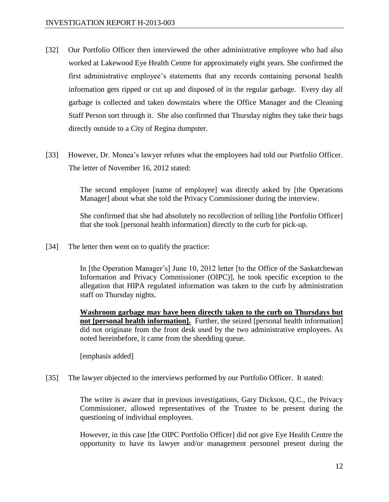- [32] Our Portfolio Officer then interviewed the other administrative employee who had also worked at Lakewood Eye Health Centre for approximately eight years. She confirmed the first administrative employee's statements that any records containing personal health information gets ripped or cut up and disposed of in the regular garbage. Every day all garbage is collected and taken downstairs where the Office Manager and the Cleaning Staff Person sort through it. She also confirmed that Thursday nights they take their bags directly outside to a City of Regina dumpster.
- [33] However, Dr. Monea's lawyer refutes what the employees had told our Portfolio Officer. The letter of November 16, 2012 stated:

The second employee [name of employee] was directly asked by [the Operations Manager] about what she told the Privacy Commissioner during the interview.

She confirmed that she had absolutely no recollection of telling [the Portfolio Officer] that she took [personal health information] directly to the curb for pick-up.

[34] The letter then went on to qualify the practice:

In [the Operation Manager's] June 10, 2012 letter [to the Office of the Saskatchewan Information and Privacy Commissioner (OIPC)], he took specific exception to the allegation that HIPA regulated information was taken to the curb by administration staff on Thursday nights.

**Washroom garbage may have been directly taken to the curb on Thursdays but not [personal health information].** Further, the seized [personal health information] did not originate from the front desk used by the two administrative employees. As noted hereinbefore, it came from the shredding queue.

[emphasis added]

[35] The lawyer objected to the interviews performed by our Portfolio Officer. It stated:

The writer is aware that in previous investigations, Gary Dickson, Q.C., the Privacy Commissioner, allowed representatives of the Trustee to be present during the questioning of individual employees.

However, in this case [the OIPC Portfolio Officer] did not give Eye Health Centre the opportunity to have its lawyer and/or management personnel present during the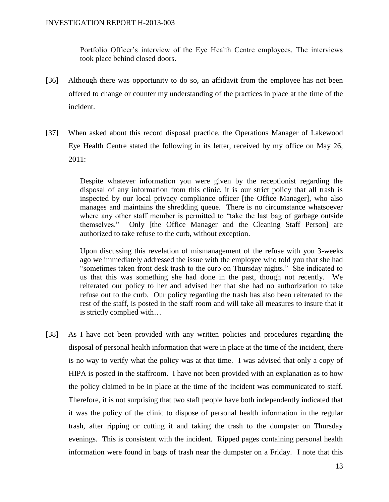Portfolio Officer's interview of the Eye Health Centre employees. The interviews took place behind closed doors.

- [36] Although there was opportunity to do so, an affidavit from the employee has not been offered to change or counter my understanding of the practices in place at the time of the incident.
- [37] When asked about this record disposal practice, the Operations Manager of Lakewood Eye Health Centre stated the following in its letter, received by my office on May 26, 2011:

Despite whatever information you were given by the receptionist regarding the disposal of any information from this clinic, it is our strict policy that all trash is inspected by our local privacy compliance officer [the Office Manager], who also manages and maintains the shredding queue. There is no circumstance whatsoever where any other staff member is permitted to "take the last bag of garbage outside themselves." Only [the Office Manager and the Cleaning Staff Person] are authorized to take refuse to the curb, without exception.

Upon discussing this revelation of mismanagement of the refuse with you 3-weeks ago we immediately addressed the issue with the employee who told you that she had "sometimes taken front desk trash to the curb on Thursday nights." She indicated to us that this was something she had done in the past, though not recently. We reiterated our policy to her and advised her that she had no authorization to take refuse out to the curb. Our policy regarding the trash has also been reiterated to the rest of the staff, is posted in the staff room and will take all measures to insure that it is strictly complied with…

[38] As I have not been provided with any written policies and procedures regarding the disposal of personal health information that were in place at the time of the incident, there is no way to verify what the policy was at that time. I was advised that only a copy of HIPA is posted in the staffroom. I have not been provided with an explanation as to how the policy claimed to be in place at the time of the incident was communicated to staff. Therefore, it is not surprising that two staff people have both independently indicated that it was the policy of the clinic to dispose of personal health information in the regular trash, after ripping or cutting it and taking the trash to the dumpster on Thursday evenings. This is consistent with the incident. Ripped pages containing personal health information were found in bags of trash near the dumpster on a Friday. I note that this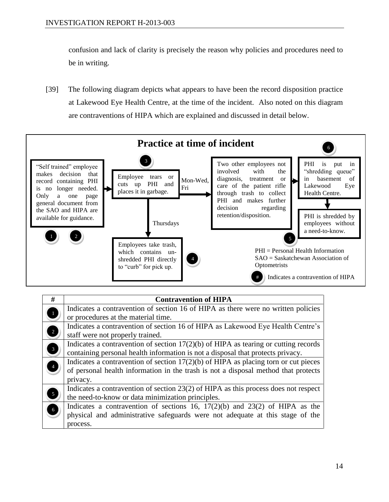confusion and lack of clarity is precisely the reason why policies and procedures need to be in writing.

[39] The following diagram depicts what appears to have been the record disposition practice at Lakewood Eye Health Centre, at the time of the incident. Also noted on this diagram are contraventions of HIPA which are explained and discussed in detail below.



| #                       | <b>Contravention of HIPA</b>                                                          |
|-------------------------|---------------------------------------------------------------------------------------|
| $\mathbf{1}$            | Indicates a contravention of section 16 of HIPA as there were no written policies     |
|                         | or procedures at the material time.                                                   |
| $\overline{\mathbf{c}}$ | Indicates a contravention of section 16 of HIPA as Lakewood Eye Health Centre's       |
|                         | staff were not properly trained.                                                      |
| 3                       | Indicates a contravention of section $17(2)(b)$ of HIPA as tearing or cutting records |
|                         | containing personal health information is not a disposal that protects privacy.       |
| 4                       | Indicates a contravention of section $17(2)(b)$ of HIPA as placing torn or cut pieces |
|                         | of personal health information in the trash is not a disposal method that protects    |
|                         | privacy.                                                                              |
| 5                       | Indicates a contravention of section 23(2) of HIPA as this process does not respect   |
|                         | the need-to-know or data minimization principles.                                     |
| $\bullet$               | Indicates a contravention of sections 16, $17(2)(b)$ and $23(2)$ of HIPA as the       |
|                         | physical and administrative safeguards were not adequate at this stage of the         |
|                         | process.                                                                              |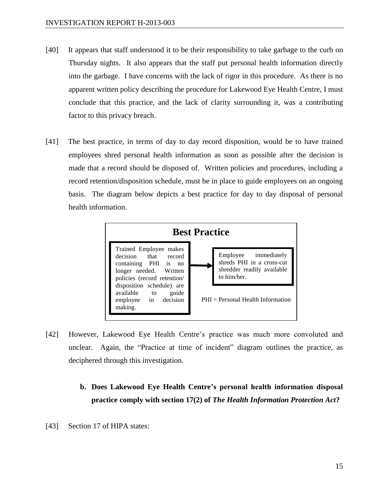- [40] It appears that staff understood it to be their responsibility to take garbage to the curb on Thursday nights. It also appears that the staff put personal health information directly into the garbage. I have concerns with the lack of rigor in this procedure. As there is no apparent written policy describing the procedure for Lakewood Eye Health Centre, I must conclude that this practice, and the lack of clarity surrounding it, was a contributing factor to this privacy breach.
- [41] The best practice, in terms of day to day record disposition, would be to have trained employees shred personal health information as soon as possible after the decision is made that a record should be disposed of. Written policies and procedures, including a record retention/disposition schedule, must be in place to guide employees on an ongoing basis. The diagram below depicts a best practice for day to day disposal of personal health information.



- [42] However, Lakewood Eye Health Centre's practice was much more convoluted and unclear. Again, the "Practice at time of incident" diagram outlines the practice, as deciphered through this investigation.
	- **b. Does Lakewood Eye Health Centre's personal health information disposal practice comply with section 17(2) of** *The Health Information Protection Act***?**
- [43] Section 17 of HIPA states: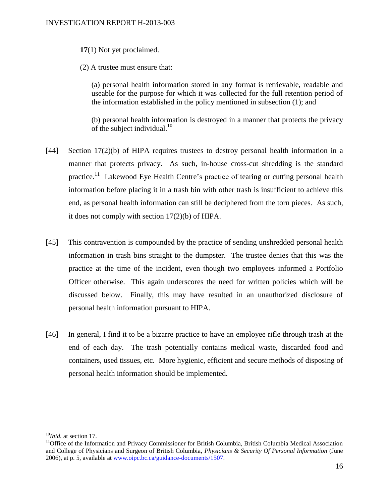#### **17**(1) Not yet proclaimed.

(2) A trustee must ensure that:

(a) personal health information stored in any format is retrievable, readable and useable for the purpose for which it was collected for the full retention period of the information established in the policy mentioned in subsection (1); and

(b) personal health information is destroyed in a manner that protects the privacy of the subject individual.<sup>10</sup>

- [44] Section 17(2)(b) of HIPA requires trustees to destroy personal health information in a manner that protects privacy. As such, in-house cross-cut shredding is the standard practice.<sup>11</sup> Lakewood Eye Health Centre's practice of tearing or cutting personal health information before placing it in a trash bin with other trash is insufficient to achieve this end, as personal health information can still be deciphered from the torn pieces. As such, it does not comply with section 17(2)(b) of HIPA.
- [45] This contravention is compounded by the practice of sending unshredded personal health information in trash bins straight to the dumpster. The trustee denies that this was the practice at the time of the incident, even though two employees informed a Portfolio Officer otherwise. This again underscores the need for written policies which will be discussed below. Finally, this may have resulted in an unauthorized disclosure of personal health information pursuant to HIPA.
- [46] In general, I find it to be a bizarre practice to have an employee rifle through trash at the end of each day. The trash potentially contains medical waste, discarded food and containers, used tissues, etc. More hygienic, efficient and secure methods of disposing of personal health information should be implemented.

<sup>10</sup>*Ibid.* at section 17.

<sup>&</sup>lt;sup>11</sup>Office of the Information and Privacy Commissioner for British Columbia, British Columbia Medical Association and College of Physicians and Surgeon of British Columbia, *Physicians & Security Of Personal Information* (June 2006), at p. 5, available at [www.oipc.bc.ca/guidance-documents/1507.](http://www.oipc.bc.ca/guidance-documents/1507)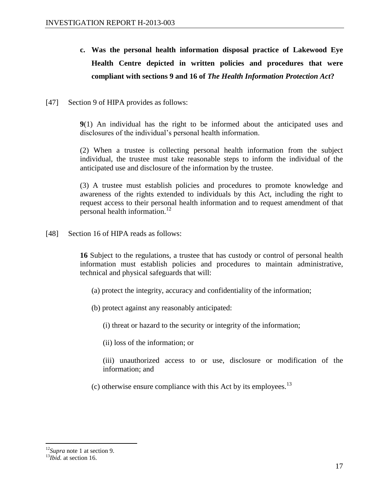- **c. Was the personal health information disposal practice of Lakewood Eye Health Centre depicted in written policies and procedures that were compliant with sections 9 and 16 of** *The Health Information Protection Act***?**
- [47] Section 9 of HIPA provides as follows:

**9**(1) An individual has the right to be informed about the anticipated uses and disclosures of the individual's personal health information.

(2) When a trustee is collecting personal health information from the subject individual, the trustee must take reasonable steps to inform the individual of the anticipated use and disclosure of the information by the trustee.

(3) A trustee must establish policies and procedures to promote knowledge and awareness of the rights extended to individuals by this Act, including the right to request access to their personal health information and to request amendment of that personal health information.<sup>12</sup>

[48] Section 16 of HIPA reads as follows:

**16** Subject to the regulations, a trustee that has custody or control of personal health information must establish policies and procedures to maintain administrative, technical and physical safeguards that will:

- (a) protect the integrity, accuracy and confidentiality of the information;
- (b) protect against any reasonably anticipated:

(i) threat or hazard to the security or integrity of the information;

(ii) loss of the information; or

(iii) unauthorized access to or use, disclosure or modification of the information; and

(c) otherwise ensure compliance with this Act by its employees.<sup>13</sup>

<sup>12</sup>*Supra* note 1 at section 9.

<sup>&</sup>lt;sup>13</sup>*Ibid.* at section 16.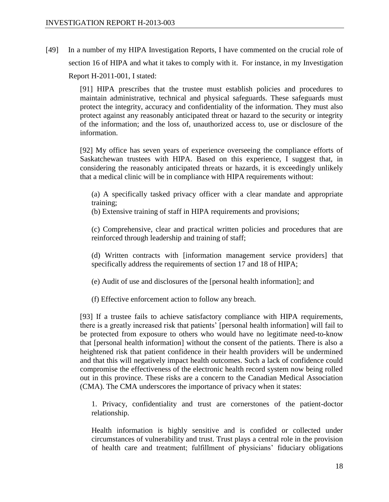[49] In a number of my HIPA Investigation Reports, I have commented on the crucial role of section 16 of HIPA and what it takes to comply with it. For instance, in my Investigation Report H-2011-001, I stated:

> [91] HIPA prescribes that the trustee must establish policies and procedures to maintain administrative, technical and physical safeguards. These safeguards must protect the integrity, accuracy and confidentiality of the information. They must also protect against any reasonably anticipated threat or hazard to the security or integrity of the information; and the loss of, unauthorized access to, use or disclosure of the information.

> [92] My office has seven years of experience overseeing the compliance efforts of Saskatchewan trustees with HIPA. Based on this experience, I suggest that, in considering the reasonably anticipated threats or hazards, it is exceedingly unlikely that a medical clinic will be in compliance with HIPA requirements without:

(a) A specifically tasked privacy officer with a clear mandate and appropriate training;

(b) Extensive training of staff in HIPA requirements and provisions;

(c) Comprehensive, clear and practical written policies and procedures that are reinforced through leadership and training of staff;

(d) Written contracts with [information management service providers] that specifically address the requirements of section 17 and 18 of HIPA;

(e) Audit of use and disclosures of the [personal health information]; and

(f) Effective enforcement action to follow any breach.

[93] If a trustee fails to achieve satisfactory compliance with HIPA requirements, there is a greatly increased risk that patients' [personal health information] will fail to be protected from exposure to others who would have no legitimate need-to-know that [personal health information] without the consent of the patients. There is also a heightened risk that patient confidence in their health providers will be undermined and that this will negatively impact health outcomes. Such a lack of confidence could compromise the effectiveness of the electronic health record system now being rolled out in this province. These risks are a concern to the Canadian Medical Association (CMA). The CMA underscores the importance of privacy when it states:

1. Privacy, confidentiality and trust are cornerstones of the patient-doctor relationship.

Health information is highly sensitive and is confided or collected under circumstances of vulnerability and trust. Trust plays a central role in the provision of health care and treatment; fulfillment of physicians' fiduciary obligations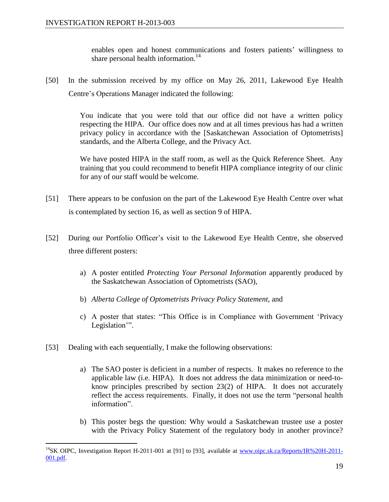enables open and honest communications and fosters patients' willingness to share personal health information.<sup>14</sup>

[50] In the submission received by my office on May 26, 2011, Lakewood Eye Health Centre's Operations Manager indicated the following:

> You indicate that you were told that our office did not have a written policy respecting the HIPA. Our office does now and at all times previous has had a written privacy policy in accordance with the [Saskatchewan Association of Optometrists] standards, and the Alberta College, and the Privacy Act.

> We have posted HIPA in the staff room, as well as the Quick Reference Sheet. Any training that you could recommend to benefit HIPA compliance integrity of our clinic for any of our staff would be welcome.

- [51] There appears to be confusion on the part of the Lakewood Eye Health Centre over what is contemplated by section 16, as well as section 9 of HIPA.
- [52] During our Portfolio Officer's visit to the Lakewood Eye Health Centre, she observed three different posters:
	- a) A poster entitled *Protecting Your Personal Information* apparently produced by the Saskatchewan Association of Optometrists (SAO),
	- b) *Alberta College of Optometrists Privacy Policy Statement*, and
	- c) A poster that states: "This Office is in Compliance with Government 'Privacy Legislation'".
- [53] Dealing with each sequentially, I make the following observations:

- a) The SAO poster is deficient in a number of respects. It makes no reference to the applicable law (i.e. HIPA). It does not address the data minimization or need-toknow principles prescribed by section 23(2) of HIPA. It does not accurately reflect the access requirements. Finally, it does not use the term "personal health information".
- b) This poster begs the question: Why would a Saskatchewan trustee use a poster with the Privacy Policy Statement of the regulatory body in another province?

<sup>&</sup>lt;sup>14</sup>SK OIPC, Investigation Report H-2011-001 at [91] to [93], available at [www.oipc.sk.ca/Reports/IR%20H-2011-](http://www.oipc.sk.ca/Reports/IR%20H-2011-001.pdf) [001.pdf.](http://www.oipc.sk.ca/Reports/IR%20H-2011-001.pdf)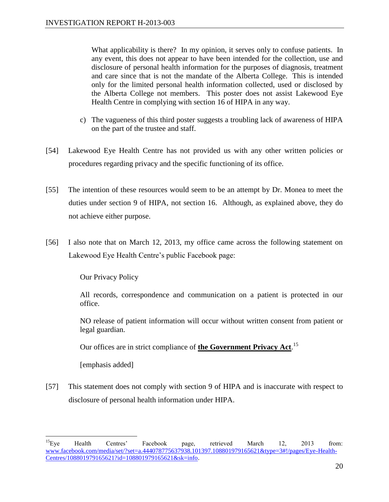What applicability is there? In my opinion, it serves only to confuse patients. In any event, this does not appear to have been intended for the collection, use and disclosure of personal health information for the purposes of diagnosis, treatment and care since that is not the mandate of the Alberta College. This is intended only for the limited personal health information collected, used or disclosed by the Alberta College not members. This poster does not assist Lakewood Eye Health Centre in complying with section 16 of HIPA in any way.

- c) The vagueness of this third poster suggests a troubling lack of awareness of HIPA on the part of the trustee and staff.
- [54] Lakewood Eye Health Centre has not provided us with any other written policies or procedures regarding privacy and the specific functioning of its office.
- [55] The intention of these resources would seem to be an attempt by Dr. Monea to meet the duties under section 9 of HIPA, not section 16. Although, as explained above, they do not achieve either purpose.
- [56] I also note that on March 12, 2013, my office came across the following statement on Lakewood Eye Health Centre's public Facebook page:

Our Privacy Policy

All records, correspondence and communication on a patient is protected in our office.

NO release of patient information will occur without written consent from patient or legal guardian.

Our offices are in strict compliance of **the Government Privacy Act**. 15

[emphasis added]

 $\overline{a}$ 

[57] This statement does not comply with section 9 of HIPA and is inaccurate with respect to disclosure of personal health information under HIPA.

<sup>&</sup>lt;sup>15</sup>Eye Health Centres' Facebook page, retrieved March 12, 2013 from: [www.facebook.com/media/set/?set=a.444078775637938.101397.108801979165621&type=3#!/pages/Eye-Health-](https://www.facebook.com/media/set/?set=a.444078775637938.101397.108801979165621&type=3#!/pages/Eye-Health-Centres/108801979165621?id=108801979165621&sk=info)[Centres/108801979165621?id=108801979165621&sk=info.](https://www.facebook.com/media/set/?set=a.444078775637938.101397.108801979165621&type=3#!/pages/Eye-Health-Centres/108801979165621?id=108801979165621&sk=info)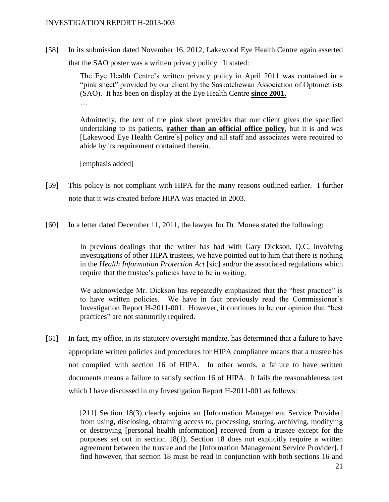[58] In its submission dated November 16, 2012, Lakewood Eye Health Centre again asserted that the SAO poster was a written privacy policy. It stated:

> The Eye Health Centre's written privacy policy in April 2011 was contained in a "pink sheet" provided by our client by the Saskatchewan Association of Optometrists (SAO). It has been on display at the Eye Health Centre **since 2001.**

> Admittedly, the text of the pink sheet provides that our client gives the specified undertaking to its patients, **rather than an official office policy**, but it is and was [Lakewood Eye Health Centre's] policy and all staff and associates were required to abide by its requirement contained therein.

[emphasis added]

- [59] This policy is not compliant with HIPA for the many reasons outlined earlier. I further note that it was created before HIPA was enacted in 2003.
- [60] In a letter dated December 11, 2011, the lawyer for Dr. Monea stated the following:

In previous dealings that the writer has had with Gary Dickson, Q.C. involving investigations of other HIPA trustees, we have pointed out to him that there is nothing in the *Health Information Protection Act* [sic] and/or the associated regulations which require that the trustee's policies have to be in writing.

We acknowledge Mr. Dickson has repeatedly emphasized that the "best practice" is to have written policies. We have in fact previously read the Commissioner's Investigation Report H-2011-001. However, it continues to be our opinion that "best practices" are not statutorily required.

[61] In fact, my office, in its statutory oversight mandate, has determined that a failure to have appropriate written policies and procedures for HIPA compliance means that a trustee has not complied with section 16 of HIPA. In other words, a failure to have written documents means a failure to satisfy section 16 of HIPA. It fails the reasonableness test which I have discussed in my Investigation Report H-2011-001 as follows:

> [211] Section 18(3) clearly enjoins an [Information Management Service Provider] from using, disclosing, obtaining access to, processing, storing, archiving, modifying or destroying [personal health information] received from a trustee except for the purposes set out in section 18(1). Section 18 does not explicitly require a written agreement between the trustee and the [Information Management Service Provider]. I find however, that section 18 must be read in conjunction with both sections 16 and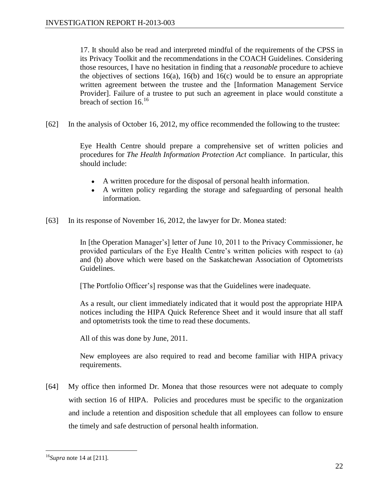17. It should also be read and interpreted mindful of the requirements of the CPSS in its Privacy Toolkit and the recommendations in the COACH Guidelines. Considering those resources, I have no hesitation in finding that a *reasonable* procedure to achieve the objectives of sections  $16(a)$ ,  $16(b)$  and  $16(c)$  would be to ensure an appropriate written agreement between the trustee and the [Information Management Service Provider]. Failure of a trustee to put such an agreement in place would constitute a breach of section  $16^{16}$ 

[62] In the analysis of October 16, 2012, my office recommended the following to the trustee:

Eye Health Centre should prepare a comprehensive set of written policies and procedures for *The Health Information Protection Act* compliance. In particular, this should include:

- A written procedure for the disposal of personal health information.
- A written policy regarding the storage and safeguarding of personal health information.
- [63] In its response of November 16, 2012, the lawyer for Dr. Monea stated:

In [the Operation Manager's] letter of June 10, 2011 to the Privacy Commissioner, he provided particulars of the Eye Health Centre's written policies with respect to (a) and (b) above which were based on the Saskatchewan Association of Optometrists Guidelines.

[The Portfolio Officer's] response was that the Guidelines were inadequate.

As a result, our client immediately indicated that it would post the appropriate HIPA notices including the HIPA Quick Reference Sheet and it would insure that all staff and optometrists took the time to read these documents.

All of this was done by June, 2011.

New employees are also required to read and become familiar with HIPA privacy requirements.

[64] My office then informed Dr. Monea that those resources were not adequate to comply with section 16 of HIPA. Policies and procedures must be specific to the organization and include a retention and disposition schedule that all employees can follow to ensure the timely and safe destruction of personal health information.

<sup>16</sup>*Supra* note 14 at [211].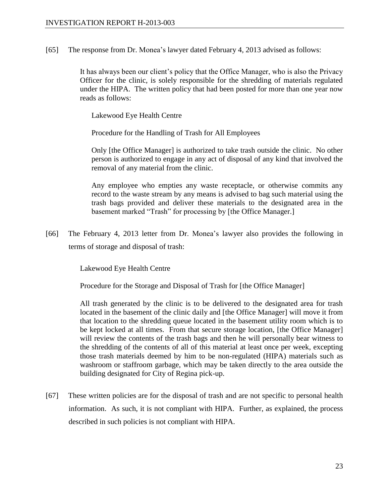[65] The response from Dr. Monea's lawyer dated February 4, 2013 advised as follows:

It has always been our client's policy that the Office Manager, who is also the Privacy Officer for the clinic, is solely responsible for the shredding of materials regulated under the HIPA. The written policy that had been posted for more than one year now reads as follows:

Lakewood Eye Health Centre

Procedure for the Handling of Trash for All Employees

Only [the Office Manager] is authorized to take trash outside the clinic. No other person is authorized to engage in any act of disposal of any kind that involved the removal of any material from the clinic.

Any employee who empties any waste receptacle, or otherwise commits any record to the waste stream by any means is advised to bag such material using the trash bags provided and deliver these materials to the designated area in the basement marked "Trash" for processing by [the Office Manager.]

[66] The February 4, 2013 letter from Dr. Monea's lawyer also provides the following in terms of storage and disposal of trash:

Lakewood Eye Health Centre

Procedure for the Storage and Disposal of Trash for [the Office Manager]

All trash generated by the clinic is to be delivered to the designated area for trash located in the basement of the clinic daily and [the Office Manager] will move it from that location to the shredding queue located in the basement utility room which is to be kept locked at all times. From that secure storage location, [the Office Manager] will review the contents of the trash bags and then he will personally bear witness to the shredding of the contents of all of this material at least once per week, excepting those trash materials deemed by him to be non-regulated (HIPA) materials such as washroom or staffroom garbage, which may be taken directly to the area outside the building designated for City of Regina pick-up.

[67] These written policies are for the disposal of trash and are not specific to personal health information. As such, it is not compliant with HIPA. Further, as explained, the process described in such policies is not compliant with HIPA.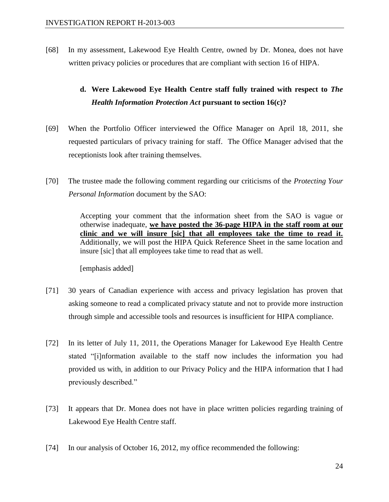[68] In my assessment, Lakewood Eye Health Centre, owned by Dr. Monea, does not have written privacy policies or procedures that are compliant with section 16 of HIPA.

# **d. Were Lakewood Eye Health Centre staff fully trained with respect to** *The Health Information Protection Act* **pursuant to section 16(c)?**

- [69] When the Portfolio Officer interviewed the Office Manager on April 18, 2011, she requested particulars of privacy training for staff. The Office Manager advised that the receptionists look after training themselves.
- [70] The trustee made the following comment regarding our criticisms of the *Protecting Your Personal Information* document by the SAO:

Accepting your comment that the information sheet from the SAO is vague or otherwise inadequate, **we have posted the 36-page HIPA in the staff room at our clinic and we will insure [sic] that all employees take the time to read it.**  Additionally, we will post the HIPA Quick Reference Sheet in the same location and insure [sic] that all employees take time to read that as well.

[emphasis added]

- [71] 30 years of Canadian experience with access and privacy legislation has proven that asking someone to read a complicated privacy statute and not to provide more instruction through simple and accessible tools and resources is insufficient for HIPA compliance.
- [72] In its letter of July 11, 2011, the Operations Manager for Lakewood Eye Health Centre stated "[i]nformation available to the staff now includes the information you had provided us with, in addition to our Privacy Policy and the HIPA information that I had previously described."
- [73] It appears that Dr. Monea does not have in place written policies regarding training of Lakewood Eye Health Centre staff.
- [74] In our analysis of October 16, 2012, my office recommended the following: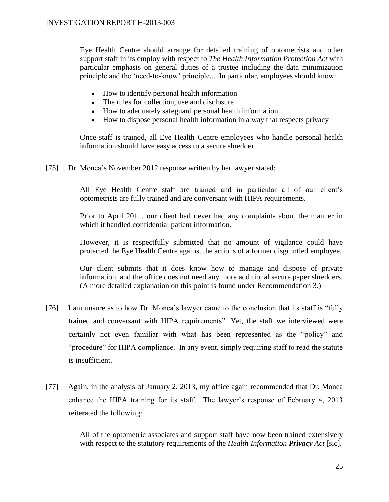Eye Health Centre should arrange for detailed training of optometrists and other support staff in its employ with respect to *The Health Information Protection Act* with particular emphasis on general duties of a trustee including the data minimization principle and the 'need-to-know' principle... In particular, employees should know:

- How to identify personal health information
- The rules for collection, use and disclosure
- How to adequately safeguard personal health information
- How to dispose personal health information in a way that respects privacy

Once staff is trained, all Eye Health Centre employees who handle personal health information should have easy access to a secure shredder.

[75] Dr. Monea's November 2012 response written by her lawyer stated:

All Eye Health Centre staff are trained and in particular all of our client's optometrists are fully trained and are conversant with HIPA requirements.

Prior to April 2011, our client had never had any complaints about the manner in which it handled confidential patient information.

However, it is respectfully submitted that no amount of vigilance could have protected the Eye Health Centre against the actions of a former disgruntled employee.

Our client submits that it does know how to manage and dispose of private information, and the office does not need any more additional secure paper shredders. (A more detailed explanation on this point is found under Recommendation 3.)

- [76] I am unsure as to how Dr. Monea's lawyer came to the conclusion that its staff is "fully trained and conversant with HIPA requirements". Yet, the staff we interviewed were certainly not even familiar with what has been represented as the "policy" and "procedure" for HIPA compliance. In any event, simply requiring staff to read the statute is insufficient.
- [77] Again, in the analysis of January 2, 2013, my office again recommended that Dr. Monea enhance the HIPA training for its staff. The lawyer's response of February 4, 2013 reiterated the following:

All of the optometric associates and support staff have now been trained extensively with respect to the statutory requirements of the *Health Information Privacy Act* [sic]*.*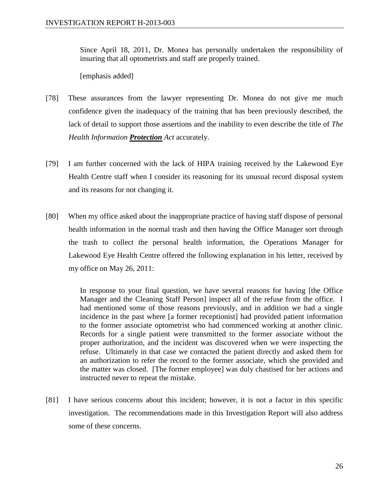Since April 18, 2011, Dr. Monea has personally undertaken the responsibility of insuring that all optometrists and staff are properly trained.

[emphasis added]

- [78] These assurances from the lawyer representing Dr. Monea do not give me much confidence given the inadequacy of the training that has been previously described, the lack of detail to support those assertions and the inability to even describe the title of *The Health Information Protection Act* accurately.
- [79] I am further concerned with the lack of HIPA training received by the Lakewood Eye Health Centre staff when I consider its reasoning for its unusual record disposal system and its reasons for not changing it.
- [80] When my office asked about the inappropriate practice of having staff dispose of personal health information in the normal trash and then having the Office Manager sort through the trash to collect the personal health information, the Operations Manager for Lakewood Eye Health Centre offered the following explanation in his letter, received by my office on May 26, 2011:

In response to your final question, we have several reasons for having [the Office Manager and the Cleaning Staff Person] inspect all of the refuse from the office. I had mentioned some of those reasons previously, and in addition we had a single incidence in the past where [a former receptionist] had provided patient information to the former associate optometrist who had commenced working at another clinic. Records for a single patient were transmitted to the former associate without the proper authorization, and the incident was discovered when we were inspecting the refuse. Ultimately in that case we contacted the patient directly and asked them for an authorization to refer the record to the former associate, which she provided and the matter was closed. [The former employee] was duly chastised for her actions and instructed never to repeat the mistake.

[81] I have serious concerns about this incident; however, it is not a factor in this specific investigation. The recommendations made in this Investigation Report will also address some of these concerns.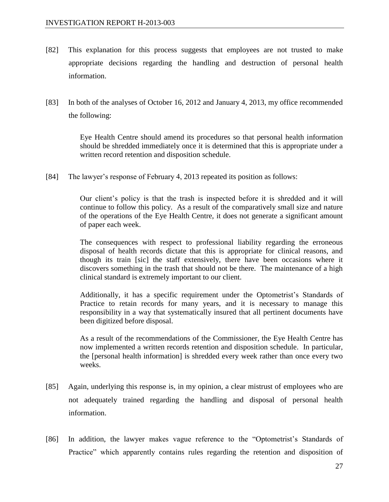- [82] This explanation for this process suggests that employees are not trusted to make appropriate decisions regarding the handling and destruction of personal health information.
- [83] In both of the analyses of October 16, 2012 and January 4, 2013, my office recommended the following:

Eye Health Centre should amend its procedures so that personal health information should be shredded immediately once it is determined that this is appropriate under a written record retention and disposition schedule.

[84] The lawyer's response of February 4, 2013 repeated its position as follows:

Our client's policy is that the trash is inspected before it is shredded and it will continue to follow this policy. As a result of the comparatively small size and nature of the operations of the Eye Health Centre, it does not generate a significant amount of paper each week.

The consequences with respect to professional liability regarding the erroneous disposal of health records dictate that this is appropriate for clinical reasons, and though its train [sic] the staff extensively, there have been occasions where it discovers something in the trash that should not be there. The maintenance of a high clinical standard is extremely important to our client.

Additionally, it has a specific requirement under the Optometrist's Standards of Practice to retain records for many years, and it is necessary to manage this responsibility in a way that systematically insured that all pertinent documents have been digitized before disposal.

As a result of the recommendations of the Commissioner, the Eye Health Centre has now implemented a written records retention and disposition schedule. In particular, the [personal health information] is shredded every week rather than once every two weeks.

- [85] Again, underlying this response is, in my opinion, a clear mistrust of employees who are not adequately trained regarding the handling and disposal of personal health information.
- [86] In addition, the lawyer makes vague reference to the "Optometrist's Standards of Practice" which apparently contains rules regarding the retention and disposition of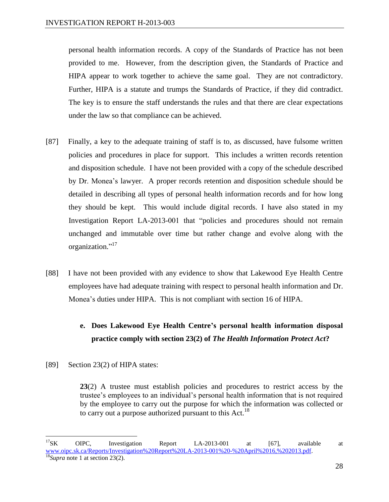personal health information records. A copy of the Standards of Practice has not been provided to me. However, from the description given, the Standards of Practice and HIPA appear to work together to achieve the same goal. They are not contradictory. Further, HIPA is a statute and trumps the Standards of Practice, if they did contradict. The key is to ensure the staff understands the rules and that there are clear expectations under the law so that compliance can be achieved.

- [87] Finally, a key to the adequate training of staff is to, as discussed, have fulsome written policies and procedures in place for support. This includes a written records retention and disposition schedule. I have not been provided with a copy of the schedule described by Dr. Monea's lawyer. A proper records retention and disposition schedule should be detailed in describing all types of personal health information records and for how long they should be kept. This would include digital records. I have also stated in my Investigation Report LA-2013-001 that "policies and procedures should not remain unchanged and immutable over time but rather change and evolve along with the organization."<sup>17</sup>
- [88] I have not been provided with any evidence to show that Lakewood Eye Health Centre employees have had adequate training with respect to personal health information and Dr. Monea's duties under HIPA. This is not compliant with section 16 of HIPA.

# **e. Does Lakewood Eye Health Centre's personal health information disposal practice comply with section 23(2) of** *The Health Information Protect Act***?**

[89] Section 23(2) of HIPA states:

**23**(2) A trustee must establish policies and procedures to restrict access by the trustee's employees to an individual's personal health information that is not required by the employee to carry out the purpose for which the information was collected or to carry out a purpose authorized pursuant to this Act.<sup>18</sup>

 $\overline{a}$ <sup>17</sup>SK OIPC, Investigation Report LA-2013-001 at [67], available at [www.oipc.sk.ca/Reports/Investigation%20Report%20LA-2013-001%20-%20April%2016,%202013.pdf.](http://www.oipc.sk.ca/Reports/Investigation%20Report%20LA-2013-001%20-%20April%2016,%202013.pdf) <sup>18</sup>*Supra* note 1 at section 23(2).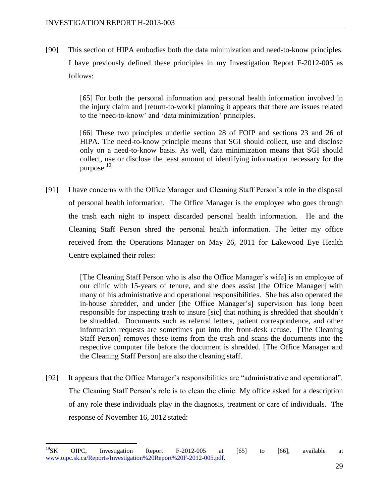$\overline{a}$ 

[90] This section of HIPA embodies both the data minimization and need-to-know principles. I have previously defined these principles in my Investigation Report F-2012-005 as follows:

> [65] For both the personal information and personal health information involved in the injury claim and [return-to-work] planning it appears that there are issues related to the 'need-to-know' and 'data minimization' principles.

> [66] These two principles underlie section 28 of FOIP and sections 23 and 26 of HIPA. The need-to-know principle means that SGI should collect, use and disclose only on a need-to-know basis. As well, data minimization means that SGI should collect, use or disclose the least amount of identifying information necessary for the purpose.<sup>19</sup>

[91] I have concerns with the Office Manager and Cleaning Staff Person's role in the disposal of personal health information. The Office Manager is the employee who goes through the trash each night to inspect discarded personal health information. He and the Cleaning Staff Person shred the personal health information. The letter my office received from the Operations Manager on May 26, 2011 for Lakewood Eye Health Centre explained their roles:

> [The Cleaning Staff Person who is also the Office Manager's wife] is an employee of our clinic with 15-years of tenure, and she does assist [the Office Manager] with many of his administrative and operational responsibilities. She has also operated the in-house shredder, and under [the Office Manager's] supervision has long been responsible for inspecting trash to insure [sic] that nothing is shredded that shouldn't be shredded. Documents such as referral letters, patient correspondence, and other information requests are sometimes put into the front-desk refuse. [The Cleaning Staff Person] removes these items from the trash and scans the documents into the respective computer file before the document is shredded. [The Office Manager and the Cleaning Staff Person] are also the cleaning staff.

[92] It appears that the Office Manager's responsibilities are "administrative and operational". The Cleaning Staff Person's role is to clean the clinic. My office asked for a description of any role these individuals play in the diagnosis, treatment or care of individuals. The response of November 16, 2012 stated:

 $^{19}$ SK OIPC, Investigation Report F-2012-005 at [65] to [66], available at [www.oipc.sk.ca/Reports/Investigation%20Report%20F-2012-005.pdf.](http://www.oipc.sk.ca/Reports/Investigation%20Report%20F-2012-005.pdf)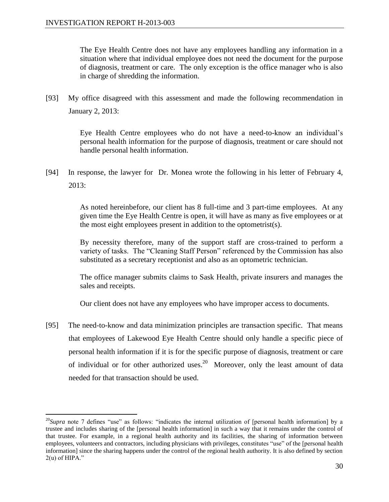The Eye Health Centre does not have any employees handling any information in a situation where that individual employee does not need the document for the purpose of diagnosis, treatment or care. The only exception is the office manager who is also in charge of shredding the information.

[93] My office disagreed with this assessment and made the following recommendation in January 2, 2013:

> Eye Health Centre employees who do not have a need-to-know an individual's personal health information for the purpose of diagnosis, treatment or care should not handle personal health information.

[94] In response, the lawyer for Dr. Monea wrote the following in his letter of February 4, 2013:

> As noted hereinbefore, our client has 8 full-time and 3 part-time employees. At any given time the Eye Health Centre is open, it will have as many as five employees or at the most eight employees present in addition to the optometrist(s).

> By necessity therefore, many of the support staff are cross-trained to perform a variety of tasks. The "Cleaning Staff Person" referenced by the Commission has also substituted as a secretary receptionist and also as an optometric technician.

> The office manager submits claims to Sask Health, private insurers and manages the sales and receipts.

Our client does not have any employees who have improper access to documents.

[95] The need-to-know and data minimization principles are transaction specific. That means that employees of Lakewood Eye Health Centre should only handle a specific piece of personal health information if it is for the specific purpose of diagnosis, treatment or care of individual or for other authorized uses.<sup>20</sup> Moreover, only the least amount of data needed for that transaction should be used.

 $\overline{a}$ <sup>20</sup>*Supra* note 7 defines "use" as follows: "indicates the internal utilization of [personal health information] by a trustee and includes sharing of the [personal health information] in such a way that it remains under the control of that trustee. For example, in a regional health authority and its facilities, the sharing of information between employees, volunteers and contractors, including physicians with privileges, constitutes "use" of the [personal health information] since the sharing happens under the control of the regional health authority. It is also defined by section 2(u) of HIPA."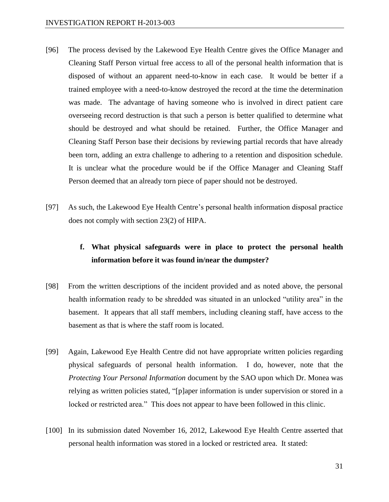- [96] The process devised by the Lakewood Eye Health Centre gives the Office Manager and Cleaning Staff Person virtual free access to all of the personal health information that is disposed of without an apparent need-to-know in each case. It would be better if a trained employee with a need-to-know destroyed the record at the time the determination was made. The advantage of having someone who is involved in direct patient care overseeing record destruction is that such a person is better qualified to determine what should be destroyed and what should be retained. Further, the Office Manager and Cleaning Staff Person base their decisions by reviewing partial records that have already been torn, adding an extra challenge to adhering to a retention and disposition schedule. It is unclear what the procedure would be if the Office Manager and Cleaning Staff Person deemed that an already torn piece of paper should not be destroyed.
- [97] As such, the Lakewood Eye Health Centre's personal health information disposal practice does not comply with section 23(2) of HIPA.

## **f. What physical safeguards were in place to protect the personal health information before it was found in/near the dumpster?**

- [98] From the written descriptions of the incident provided and as noted above, the personal health information ready to be shredded was situated in an unlocked "utility area" in the basement. It appears that all staff members, including cleaning staff, have access to the basement as that is where the staff room is located.
- [99] Again, Lakewood Eye Health Centre did not have appropriate written policies regarding physical safeguards of personal health information. I do, however, note that the *Protecting Your Personal Information* document by the SAO upon which Dr. Monea was relying as written policies stated, "[p]aper information is under supervision or stored in a locked or restricted area." This does not appear to have been followed in this clinic.
- [100] In its submission dated November 16, 2012, Lakewood Eye Health Centre asserted that personal health information was stored in a locked or restricted area. It stated: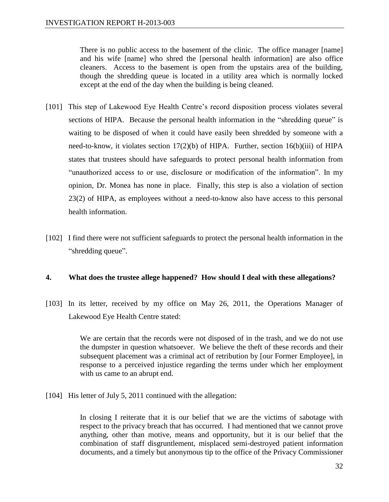There is no public access to the basement of the clinic. The office manager [name] and his wife [name] who shred the [personal health information] are also office cleaners. Access to the basement is open from the upstairs area of the building, though the shredding queue is located in a utility area which is normally locked except at the end of the day when the building is being cleaned.

- [101] This step of Lakewood Eye Health Centre's record disposition process violates several sections of HIPA. Because the personal health information in the "shredding queue" is waiting to be disposed of when it could have easily been shredded by someone with a need-to-know, it violates section 17(2)(b) of HIPA. Further, section 16(b)(iii) of HIPA states that trustees should have safeguards to protect personal health information from "unauthorized access to or use, disclosure or modification of the information". In my opinion, Dr. Monea has none in place. Finally, this step is also a violation of section 23(2) of HIPA, as employees without a need-to-know also have access to this personal health information.
- [102] I find there were not sufficient safeguards to protect the personal health information in the "shredding queue".

### **4. What does the trustee allege happened? How should I deal with these allegations?**

[103] In its letter, received by my office on May 26, 2011, the Operations Manager of Lakewood Eye Health Centre stated:

> We are certain that the records were not disposed of in the trash, and we do not use the dumpster in question whatsoever. We believe the theft of these records and their subsequent placement was a criminal act of retribution by [our Former Employee], in response to a perceived injustice regarding the terms under which her employment with us came to an abrupt end.

[104] His letter of July 5, 2011 continued with the allegation:

In closing I reiterate that it is our belief that we are the victims of sabotage with respect to the privacy breach that has occurred. I had mentioned that we cannot prove anything, other than motive, means and opportunity, but it is our belief that the combination of staff disgruntlement, misplaced semi-destroyed patient information documents, and a timely but anonymous tip to the office of the Privacy Commissioner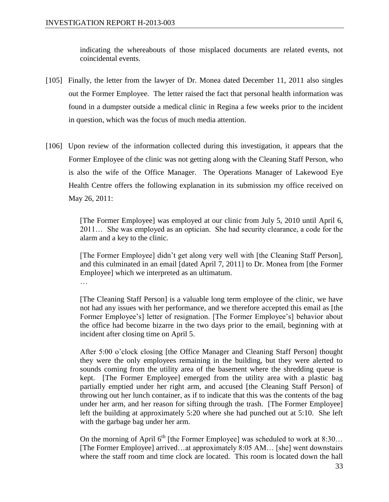indicating the whereabouts of those misplaced documents are related events, not coincidental events.

- [105] Finally, the letter from the lawyer of Dr. Monea dated December 11, 2011 also singles out the Former Employee. The letter raised the fact that personal health information was found in a dumpster outside a medical clinic in Regina a few weeks prior to the incident in question, which was the focus of much media attention.
- [106] Upon review of the information collected during this investigation, it appears that the Former Employee of the clinic was not getting along with the Cleaning Staff Person, who is also the wife of the Office Manager. The Operations Manager of Lakewood Eye Health Centre offers the following explanation in its submission my office received on May 26, 2011:

[The Former Employee] was employed at our clinic from July 5, 2010 until April 6, 2011… She was employed as an optician. She had security clearance, a code for the alarm and a key to the clinic.

[The Former Employee] didn't get along very well with [the Cleaning Staff Person], and this culminated in an email [dated April 7, 2011] to Dr. Monea from [the Former Employee] which we interpreted as an ultimatum.

…

[The Cleaning Staff Person] is a valuable long term employee of the clinic, we have not had any issues with her performance, and we therefore accepted this email as [the Former Employee's] letter of resignation. [The Former Employee's] behavior about the office had become bizarre in the two days prior to the email, beginning with at incident after closing time on April 5.

After 5:00 o'clock closing [the Office Manager and Cleaning Staff Person] thought they were the only employees remaining in the building, but they were alerted to sounds coming from the utility area of the basement where the shredding queue is kept. [The Former Employee] emerged from the utility area with a plastic bag partially emptied under her right arm, and accused [the Cleaning Staff Person] of throwing out her lunch container, as if to indicate that this was the contents of the bag under her arm, and her reason for sifting through the trash. [The Former Employee] left the building at approximately 5:20 where she had punched out at 5:10. She left with the garbage bag under her arm.

On the morning of April  $6<sup>th</sup>$  [the Former Employee] was scheduled to work at 8:30... [The Former Employee] arrived…at approximately 8:05 AM… [she] went downstairs where the staff room and time clock are located. This room is located down the hall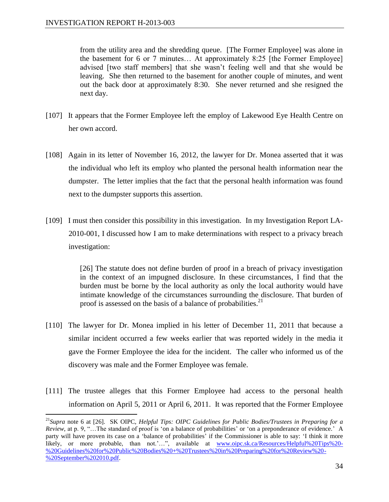$\overline{a}$ 

from the utility area and the shredding queue. [The Former Employee] was alone in the basement for 6 or 7 minutes… At approximately 8:25 [the Former Employee] advised [two staff members] that she wasn't feeling well and that she would be leaving. She then returned to the basement for another couple of minutes, and went out the back door at approximately 8:30. She never returned and she resigned the next day.

- [107] It appears that the Former Employee left the employ of Lakewood Eye Health Centre on her own accord.
- [108] Again in its letter of November 16, 2012, the lawyer for Dr. Monea asserted that it was the individual who left its employ who planted the personal health information near the dumpster. The letter implies that the fact that the personal health information was found next to the dumpster supports this assertion.
- [109] I must then consider this possibility in this investigation. In my Investigation Report LA-2010-001, I discussed how I am to make determinations with respect to a privacy breach investigation:

[26] The statute does not define burden of proof in a breach of privacy investigation in the context of an impugned disclosure. In these circumstances, I find that the burden must be borne by the local authority as only the local authority would have intimate knowledge of the circumstances surrounding the disclosure. That burden of proof is assessed on the basis of a balance of probabilities.<sup>21</sup>

- [110] The lawyer for Dr. Monea implied in his letter of December 11, 2011 that because a similar incident occurred a few weeks earlier that was reported widely in the media it gave the Former Employee the idea for the incident. The caller who informed us of the discovery was male and the Former Employee was female.
- [111] The trustee alleges that this Former Employee had access to the personal health information on April 5, 2011 or April 6, 2011. It was reported that the Former Employee

<sup>21</sup>*Supra* note 6 at [26]. SK OIPC, *Helpful Tips: OIPC Guidelines for Public Bodies/Trustees in Preparing for a Review*, at p. 9, "…The standard of proof is 'on a balance of probabilities' or 'on a preponderance of evidence.' A party will have proven its case on a 'balance of probabilities' if the Commissioner is able to say: 'I think it more likely, or more probable, than not.'...", available at [www.oipc.sk.ca/Resources/Helpful%20Tips%20-](http://www.oipc.sk.ca/Resources/Helpful%20Tips%20-%20Guidelines%20for%20Public%20Bodies%20+%20Trustees%20in%20Preparing%20for%20Review%20-%20September%202010.pdf) [%20Guidelines%20for%20Public%20Bodies%20+%20Trustees%20in%20Preparing%20for%20Review%20-](http://www.oipc.sk.ca/Resources/Helpful%20Tips%20-%20Guidelines%20for%20Public%20Bodies%20+%20Trustees%20in%20Preparing%20for%20Review%20-%20September%202010.pdf) [%20September%202010.pdf.](http://www.oipc.sk.ca/Resources/Helpful%20Tips%20-%20Guidelines%20for%20Public%20Bodies%20+%20Trustees%20in%20Preparing%20for%20Review%20-%20September%202010.pdf)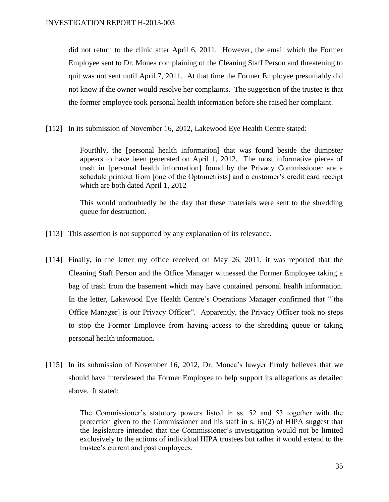did not return to the clinic after April 6, 2011. However, the email which the Former Employee sent to Dr. Monea complaining of the Cleaning Staff Person and threatening to quit was not sent until April 7, 2011. At that time the Former Employee presumably did not know if the owner would resolve her complaints. The suggestion of the trustee is that the former employee took personal health information before she raised her complaint.

[112] In its submission of November 16, 2012, Lakewood Eye Health Centre stated:

Fourthly, the [personal health information] that was found beside the dumpster appears to have been generated on April 1, 2012. The most informative pieces of trash in [personal health information] found by the Privacy Commissioner are a schedule printout from [one of the Optometrists] and a customer's credit card receipt which are both dated April 1, 2012

This would undoubtedly be the day that these materials were sent to the shredding queue for destruction.

- [113] This assertion is not supported by any explanation of its relevance.
- [114] Finally, in the letter my office received on May 26, 2011, it was reported that the Cleaning Staff Person and the Office Manager witnessed the Former Employee taking a bag of trash from the basement which may have contained personal health information. In the letter, Lakewood Eye Health Centre's Operations Manager confirmed that "[the Office Manager] is our Privacy Officer". Apparently, the Privacy Officer took no steps to stop the Former Employee from having access to the shredding queue or taking personal health information.
- [115] In its submission of November 16, 2012, Dr. Monea's lawyer firmly believes that we should have interviewed the Former Employee to help support its allegations as detailed above. It stated:

The Commissioner's statutory powers listed in ss. 52 and 53 together with the protection given to the Commissioner and his staff in s. 61(2) of HIPA suggest that the legislature intended that the Commissioner's investigation would not be limited exclusively to the actions of individual HIPA trustees but rather it would extend to the trustee's current and past employees.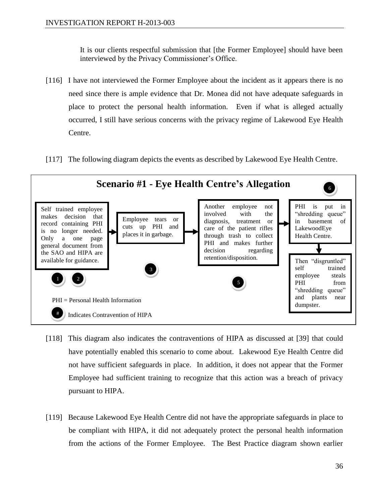It is our clients respectful submission that [the Former Employee] should have been interviewed by the Privacy Commissioner's Office.

- [116] I have not interviewed the Former Employee about the incident as it appears there is no need since there is ample evidence that Dr. Monea did not have adequate safeguards in place to protect the personal health information. Even if what is alleged actually occurred, I still have serious concerns with the privacy regime of Lakewood Eye Health Centre.
- [117] The following diagram depicts the events as described by Lakewood Eye Health Centre.



- [118] This diagram also indicates the contraventions of HIPA as discussed at [39] that could have potentially enabled this scenario to come about. Lakewood Eye Health Centre did not have sufficient safeguards in place. In addition, it does not appear that the Former Employee had sufficient training to recognize that this action was a breach of privacy pursuant to HIPA.
- [119] Because Lakewood Eye Health Centre did not have the appropriate safeguards in place to be compliant with HIPA, it did not adequately protect the personal health information from the actions of the Former Employee. The Best Practice diagram shown earlier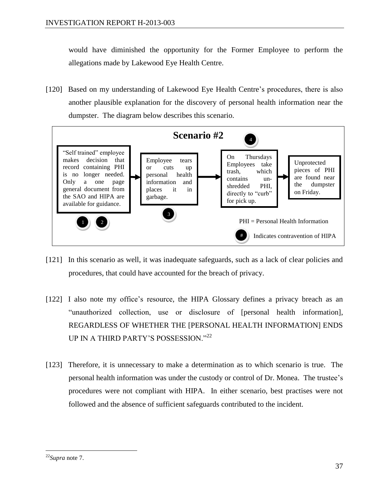would have diminished the opportunity for the Former Employee to perform the allegations made by Lakewood Eye Health Centre.

[120] Based on my understanding of Lakewood Eye Health Centre's procedures, there is also another plausible explanation for the discovery of personal health information near the dumpster. The diagram below describes this scenario.



- [121] In this scenario as well, it was inadequate safeguards, such as a lack of clear policies and procedures, that could have accounted for the breach of privacy.
- [122] I also note my office's resource*,* the HIPA Glossary defines a privacy breach as an "unauthorized collection, use or disclosure of [personal health information], REGARDLESS OF WHETHER THE [PERSONAL HEALTH INFORMATION] ENDS UP IN A THIRD PARTY'S POSSESSION."<sup>22</sup>
- [123] Therefore, it is unnecessary to make a determination as to which scenario is true. The personal health information was under the custody or control of Dr. Monea. The trustee's procedures were not compliant with HIPA. In either scenario, best practises were not followed and the absence of sufficient safeguards contributed to the incident.

<sup>22</sup>*Supra* note 7.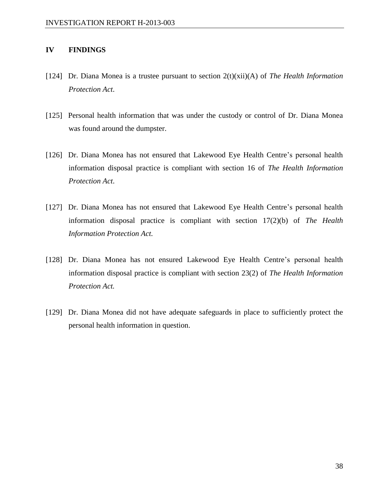#### **IV FINDINGS**

- [124] Dr. Diana Monea is a trustee pursuant to section 2(t)(xii)(A) of *The Health Information Protection Act*.
- [125] Personal health information that was under the custody or control of Dr. Diana Monea was found around the dumpster.
- [126] Dr. Diana Monea has not ensured that Lakewood Eye Health Centre's personal health information disposal practice is compliant with section 16 of *The Health Information Protection Act*.
- [127] Dr. Diana Monea has not ensured that Lakewood Eye Health Centre's personal health information disposal practice is compliant with section 17(2)(b) of *The Health Information Protection Act.*
- [128] Dr. Diana Monea has not ensured Lakewood Eye Health Centre's personal health information disposal practice is compliant with section 23(2) of *The Health Information Protection Act.*
- [129] Dr. Diana Monea did not have adequate safeguards in place to sufficiently protect the personal health information in question.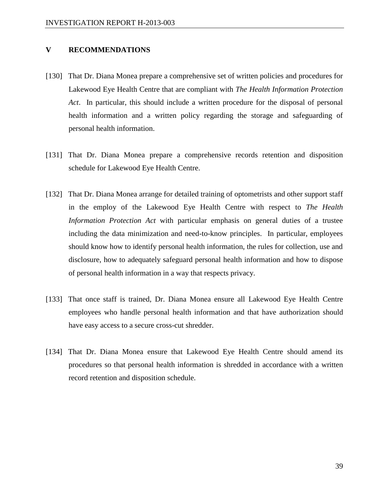#### **V RECOMMENDATIONS**

- [130] That Dr. Diana Monea prepare a comprehensive set of written policies and procedures for Lakewood Eye Health Centre that are compliant with *The Health Information Protection Act*. In particular, this should include a written procedure for the disposal of personal health information and a written policy regarding the storage and safeguarding of personal health information.
- [131] That Dr. Diana Monea prepare a comprehensive records retention and disposition schedule for Lakewood Eye Health Centre.
- [132] That Dr. Diana Monea arrange for detailed training of optometrists and other support staff in the employ of the Lakewood Eye Health Centre with respect to *The Health Information Protection Act* with particular emphasis on general duties of a trustee including the data minimization and need-to-know principles. In particular, employees should know how to identify personal health information, the rules for collection, use and disclosure, how to adequately safeguard personal health information and how to dispose of personal health information in a way that respects privacy.
- [133] That once staff is trained, Dr. Diana Monea ensure all Lakewood Eye Health Centre employees who handle personal health information and that have authorization should have easy access to a secure cross-cut shredder.
- [134] That Dr. Diana Monea ensure that Lakewood Eye Health Centre should amend its procedures so that personal health information is shredded in accordance with a written record retention and disposition schedule.